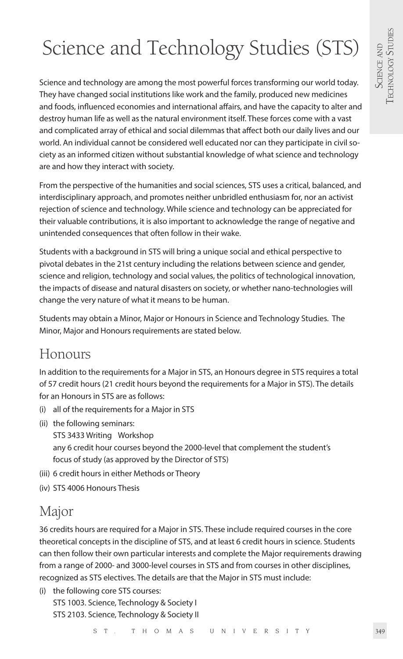# Science and Technology Studies (STS)

Science and technology are among the most powerful forces transforming our world today. They have changed social institutions like work and the family, produced new medicines and foods, influenced economies and international affairs, and have the capacity to alter and destroy human life as well as the natural environment itself. These forces come with a vast and complicated array of ethical and social dilemmas that affect both our daily lives and our world. An individual cannot be considered well educated nor can they participate in civil society as an informed citizen without substantial knowledge of what science and technology are and how they interact with society.

From the perspective of the humanities and social sciences, STS uses a critical, balanced, and interdisciplinary approach, and promotes neither unbridled enthusiasm for, nor an activist rejection of science and technology. While science and technology can be appreciated for their valuable contributions, it is also important to acknowledge the range of negative and unintended consequences that often follow in their wake.

Students with a background in STS will bring a unique social and ethical perspective to pivotal debates in the 21st century including the relations between science and gender, science and religion, technology and social values, the politics of technological innovation, the impacts of disease and natural disasters on society, or whether nano-technologies will change the very nature of what it means to be human.

Students may obtain a Minor, Major or Honours in Science and Technology Studies. The Minor, Major and Honours requirements are stated below.

# Honours

In addition to the requirements for a Major in STS, an Honours degree in STS requires a total of 57 credit hours (21 credit hours beyond the requirements for a Major in STS). The details for an Honours in STS are as follows:

- (i) all of the requirements for a Major in STS
- (ii) the following seminars:
	- STS 3433 Writing Workshop any 6 credit hour courses beyond the 2000-level that complement the student's focus of study (as approved by the Director of STS)
- (iii) 6 credit hours in either Methods or Theory
- (iv) STS 4006 Honours Thesis

# Major

36 credits hours are required for a Major in STS. These include required courses in the core theoretical concepts in the discipline of STS, and at least 6 credit hours in science. Students can then follow their own particular interests and complete the Major requirements drawing from a range of 2000- and 3000-level courses in STS and from courses in other disciplines, recognized as STS electives. The details are that the Major in STS must include:

(i) the following core STS courses: STS 1003. Science, Technology & Society I STS 2103. Science, Technology & Society II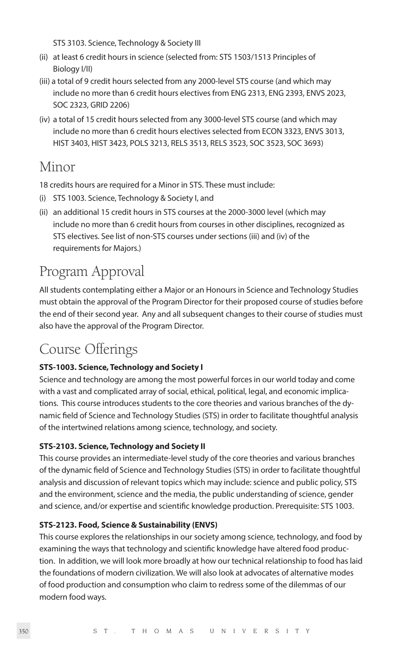STS 3103. Science, Technology & Society III

- (ii) at least 6 credit hours in science (selected from: STS 1503/1513 Principles of Biology I/II)
- (iii) a total of 9 credit hours selected from any 2000-level STS course (and which may include no more than 6 credit hours electives from ENG 2313, ENG 2393, ENVS 2023, SOC 2323, GRID 2206)
- (iv) a total of 15 credit hours selected from any 3000-level STS course (and which may include no more than 6 credit hours electives selected from ECON 3323, ENVS 3013, HIST 3403, HIST 3423, POLS 3213, RELS 3513, RELS 3523, SOC 3523, SOC 3693)

# Minor

18 credits hours are required for a Minor in STS. These must include:

- (i) STS 1003. Science, Technology & Society I, and
- (ii) an additional 15 credit hours in STS courses at the 2000-3000 level (which may include no more than 6 credit hours from courses in other disciplines, recognized as STS electives. See list of non-STS courses under sections (iii) and (iv) of the requirements for Majors.)

# Program Approval

All students contemplating either a Major or an Honours in Science and Technology Studies must obtain the approval of the Program Director for their proposed course of studies before the end of their second year. Any and all subsequent changes to their course of studies must also have the approval of the Program Director.

# Course Offerings

# **STS-1003. Science, Technology and Society I**

Science and technology are among the most powerful forces in our world today and come with a vast and complicated array of social, ethical, political, legal, and economic implications. This course introduces students to the core theories and various branches of the dynamic field of Science and Technology Studies (STS) in order to facilitate thoughtful analysis of the intertwined relations among science, technology, and society.

# **STS-2103. Science, Technology and Society II**

This course provides an intermediate-level study of the core theories and various branches of the dynamic field of Science and Technology Studies (STS) in order to facilitate thoughtful analysis and discussion of relevant topics which may include: science and public policy, STS and the environment, science and the media, the public understanding of science, gender and science, and/or expertise and scientific knowledge production. Prerequisite: STS 1003.

# **STS-2123. Food, Science & Sustainability (ENVS)**

This course explores the relationships in our society among science, technology, and food by examining the ways that technology and scientific knowledge have altered food production. In addition, we will look more broadly at how our technical relationship to food has laid the foundations of modern civilization. We will also look at advocates of alternative modes of food production and consumption who claim to redress some of the dilemmas of our modern food ways.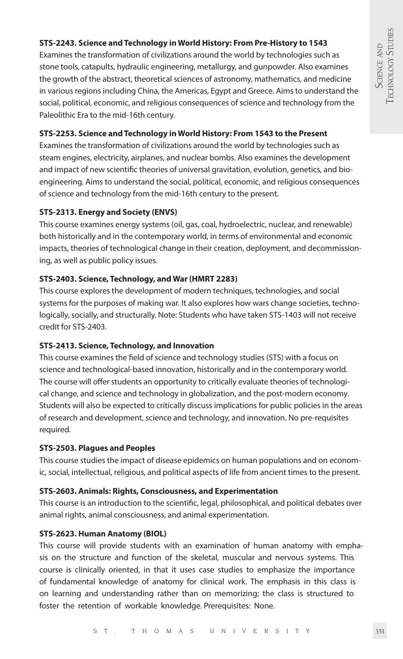# **STS-2243. Science and Technology in World History: From Pre-History to 1543**

Examines the transformation of civilizations around the world by technologies such as stone tools, catapults, hydraulic engineering, metallurgy, and gunpowder. Also examines the growth of the abstract, theoretical sciences of astronomy, mathematics, and medicine in various regions including China, the Americas, Egypt and Greece. Aims to understand the social, political, economic, and religious consequences of science and technology from the Paleolithic Era to the mid-16th century.

# **STS-2253. Science and Technology in World History: From 1543 to the Present**

Examines the transformation of civilizations around the world by technologies such as steam engines, electricity, airplanes, and nuclear bombs. Also examines the development and impact of new scientific theories of universal gravitation, evolution, genetics, and bioengineering. Aims to understand the social, political, economic, and religious consequences of science and technology from the mid-16th century to the present.

# **STS-2313. Energy and Society (ENVS)**

This course examines energy systems (oil, gas, coal, hydroelectric, nuclear, and renewable) both historically and in the contemporary world, in terms of environmental and economic impacts, theories of technological change in their creation, deployment, and decommissioning, as well as public policy issues.

# **STS-2403. Science, Technology, and War (HMRT 2283)**

This course explores the development of modern techniques, technologies, and social systems for the purposes of making war. It also explores how wars change societies, technologically, socially, and structurally. Note: Students who have taken STS-1403 will not receive credit for STS-2403.

### **STS-2413. Science, Technology, and Innovation**

This course examines the field of science and technology studies (STS) with a focus on science and technological-based innovation, historically and in the contemporary world. The course will offer students an opportunity to critically evaluate theories of technological change, and science and technology in globalization, and the post-modern economy. Students will also be expected to critically discuss implications for public policies in the areas of research and development, science and technology, and innovation. No pre-requisites required.

### **STS-2503. Plagues and Peoples**

This course studies the impact of disease epidemics on human populations and on economic, social, intellectual, religious, and political aspects of life from ancient times to the present.

### **STS-2603. Animals: Rights, Consciousness, and Experimentation**

This course is an introduction to the scientific, legal, philosophical, and political debates over animal rights, animal consciousness, and animal experimentation.

# **STS-2623. Human Anatomy (BIOL)**

This course will provide students with an examination of human anatomy with emphasis on the structure and function of the skeletal, muscular and nervous systems. This course is clinically oriented, in that it uses case studies to emphasize the importance of fundamental knowledge of anatomy for clinical work. The emphasis in this class is on learning and understanding rather than on memorizing; the class is structured to foster the retention of workable knowledge. Prerequisites: None.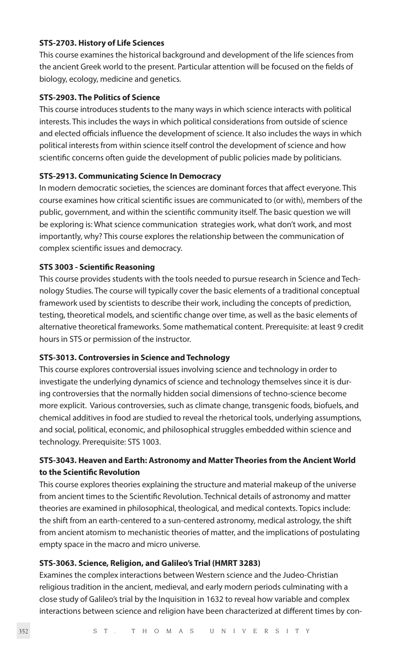#### **STS-2703. History of Life Sciences**

This course examines the historical background and development of the life sciences from the ancient Greek world to the present. Particular attention will be focused on the fields of biology, ecology, medicine and genetics.

# **STS-2903. The Politics of Science**

This course introduces students to the many ways in which science interacts with political interests. This includes the ways in which political considerations from outside of science and elected officials influence the development of science. It also includes the ways in which political interests from within science itself control the development of science and how scientific concerns often guide the development of public policies made by politicians.

#### **STS-2913. Communicating Science In Democracy**

In modern democratic societies, the sciences are dominant forces that affect everyone. This course examines how critical scientific issues are communicated to (or with), members of the public, government, and within the scientific community itself. The basic question we will be exploring is: What science communication strategies work, what don't work, and most importantly, why? This course explores the relationship between the communication of complex scientific issues and democracy.

### **STS 3003 - Scientific Reasoning**

This course provides students with the tools needed to pursue research in Science and Technology Studies. The course will typically cover the basic elements of a traditional conceptual framework used by scientists to describe their work, including the concepts of prediction, testing, theoretical models, and scientific change over time, as well as the basic elements of alternative theoretical frameworks. Some mathematical content. Prerequisite: at least 9 credit hours in STS or permission of the instructor.

#### **STS-3013. Controversies in Science and Technology**

This course explores controversial issues involving science and technology in order to investigate the underlying dynamics of science and technology themselves since it is during controversies that the normally hidden social dimensions of techno-science become more explicit. Various controversies, such as climate change, transgenic foods, biofuels, and chemical additives in food are studied to reveal the rhetorical tools, underlying assumptions, and social, political, economic, and philosophical struggles embedded within science and technology. Prerequisite: STS 1003.

# **STS-3043. Heaven and Earth: Astronomy and Matter Theories from the Ancient World to the Scientific Revolution**

This course explores theories explaining the structure and material makeup of the universe from ancient times to the Scientific Revolution. Technical details of astronomy and matter theories are examined in philosophical, theological, and medical contexts. Topics include: the shift from an earth-centered to a sun-centered astronomy, medical astrology, the shift from ancient atomism to mechanistic theories of matter, and the implications of postulating empty space in the macro and micro universe.

### **STS-3063. Science, Religion, and Galileo's Trial (HMRT 3283)**

Examines the complex interactions between Western science and the Judeo-Christian religious tradition in the ancient, medieval, and early modern periods culminating with a close study of Galileo's trial by the Inquisition in 1632 to reveal how variable and complex interactions between science and religion have been characterized at different times by con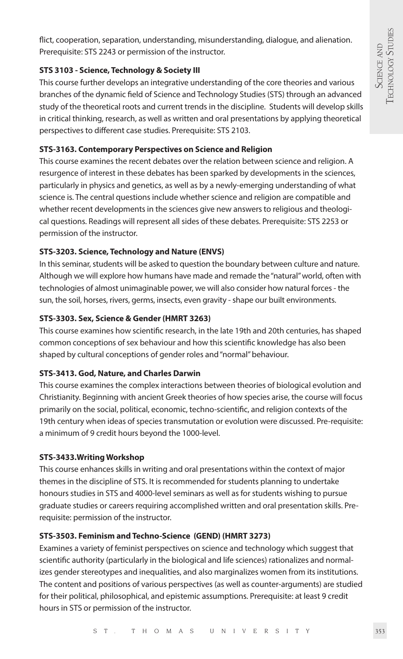flict, cooperation, separation, understanding, misunderstanding, dialogue, and alienation. Prerequisite: STS 2243 or permission of the instructor.

# **STS 3103 - Science, Technology & Society III**

This course further develops an integrative understanding of the core theories and various branches of the dynamic field of Science and Technology Studies (STS) through an advanced study of the theoretical roots and current trends in the discipline. Students will develop skills in critical thinking, research, as well as written and oral presentations by applying theoretical perspectives to different case studies. Prerequisite: STS 2103.

# **STS-3163. Contemporary Perspectives on Science and Religion**

This course examines the recent debates over the relation between science and religion. A resurgence of interest in these debates has been sparked by developments in the sciences, particularly in physics and genetics, as well as by a newly-emerging understanding of what science is. The central questions include whether science and religion are compatible and whether recent developments in the sciences give new answers to religious and theological questions. Readings will represent all sides of these debates. Prerequisite: STS 2253 or permission of the instructor.

# **STS-3203. Science, Technology and Nature (ENVS)**

In this seminar, students will be asked to question the boundary between culture and nature. Although we will explore how humans have made and remade the "natural" world, often with technologies of almost unimaginable power, we will also consider how natural forces - the sun, the soil, horses, rivers, germs, insects, even gravity - shape our built environments.

# **STS-3303. Sex, Science & Gender (HMRT 3263)**

This course examines how scientific research, in the late 19th and 20th centuries, has shaped common conceptions of sex behaviour and how this scientific knowledge has also been shaped by cultural conceptions of gender roles and "normal" behaviour.

# **STS-3413. God, Nature, and Charles Darwin**

This course examines the complex interactions between theories of biological evolution and Christianity. Beginning with ancient Greek theories of how species arise, the course will focus primarily on the social, political, economic, techno-scientific, and religion contexts of the 19th century when ideas of species transmutation or evolution were discussed. Pre-requisite: a minimum of 9 credit hours beyond the 1000-level.

# **STS-3433.Writing Workshop**

This course enhances skills in writing and oral presentations within the context of major themes in the discipline of STS. It is recommended for students planning to undertake honours studies in STS and 4000-level seminars as well as for students wishing to pursue graduate studies or careers requiring accomplished written and oral presentation skills. Prerequisite: permission of the instructor.

# **STS-3503. Feminism and Techno-Science (GEND) (HMRT 3273)**

Examines a variety of feminist perspectives on science and technology which suggest that scientific authority (particularly in the biological and life sciences) rationalizes and normalizes gender stereotypes and inequalities, and also marginalizes women from its institutions. The content and positions of various perspectives (as well as counter-arguments) are studied for their political, philosophical, and epistemic assumptions. Prerequisite: at least 9 credit hours in STS or permission of the instructor.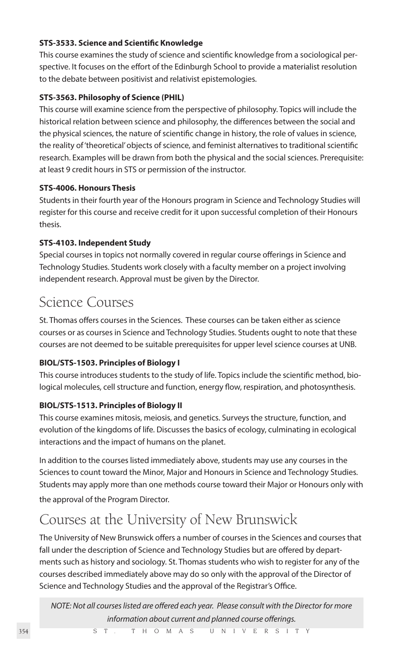# **STS-3533. Science and Scientific Knowledge**

This course examines the study of science and scientific knowledge from a sociological perspective. It focuses on the effort of the Edinburgh School to provide a materialist resolution to the debate between positivist and relativist epistemologies.

# **STS-3563. Philosophy of Science (PHIL)**

This course will examine science from the perspective of philosophy. Topics will include the historical relation between science and philosophy, the differences between the social and the physical sciences, the nature of scientific change in history, the role of values in science, the reality of 'theoretical' objects of science, and feminist alternatives to traditional scientific research. Examples will be drawn from both the physical and the social sciences. Prerequisite: at least 9 credit hours in STS or permission of the instructor.

### **STS-4006. Honours Thesis**

Students in their fourth year of the Honours program in Science and Technology Studies will register for this course and receive credit for it upon successful completion of their Honours thesis.

# **STS-4103. Independent Study**

Special courses in topics not normally covered in regular course offerings in Science and Technology Studies. Students work closely with a faculty member on a project involving independent research. Approval must be given by the Director.

# Science Courses

St. Thomas offers courses in the Sciences. These courses can be taken either as science courses or as courses in Science and Technology Studies. Students ought to note that these courses are not deemed to be suitable prerequisites for upper level science courses at UNB.

# **BIOL/STS-1503. Principles of Biology I**

This course introduces students to the study of life. Topics include the scientific method, biological molecules, cell structure and function, energy flow, respiration, and photosynthesis.

# **BIOL/STS-1513. Principles of Biology II**

This course examines mitosis, meiosis, and genetics. Surveys the structure, function, and evolution of the kingdoms of life. Discusses the basics of ecology, culminating in ecological interactions and the impact of humans on the planet.

In addition to the courses listed immediately above, students may use any courses in the Sciences to count toward the Minor, Major and Honours in Science and Technology Studies. Students may apply more than one methods course toward their Major or Honours only with the approval of the Program Director.

# Courses at the University of New Brunswick

The University of New Brunswick offers a number of courses in the Sciences and courses that fall under the description of Science and Technology Studies but are offered by departments such as history and sociology. St. Thomas students who wish to register for any of the courses described immediately above may do so only with the approval of the Director of Science and Technology Studies and the approval of the Registrar's Office.

*NOTE: Not all courses listed are offered each year. Please consult with the Director for more information about current and planned course offerings.*